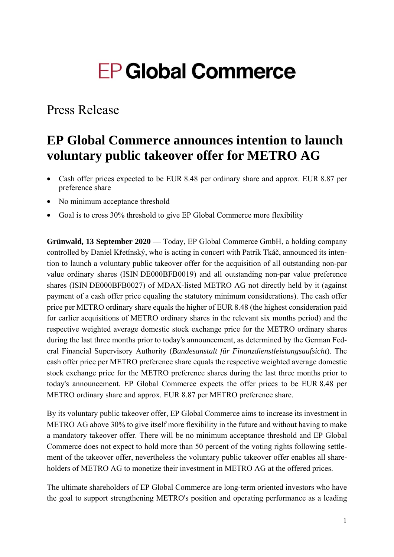# **EP Global Commerce**

### Press Release

## **EP Global Commerce announces intention to launch voluntary public takeover offer for METRO AG**

- Cash offer prices expected to be EUR 8.48 per ordinary share and approx. EUR 8.87 per preference share
- No minimum acceptance threshold
- Goal is to cross 30% threshold to give EP Global Commerce more flexibility

**Grünwald, 13 September 2020** — Today, EP Global Commerce GmbH, a holding company controlled by Daniel Křetínský, who is acting in concert with Patrik Tkáč, announced its intention to launch a voluntary public takeover offer for the acquisition of all outstanding non-par value ordinary shares (ISIN DE000BFB0019) and all outstanding non-par value preference shares (ISIN DE000BFB0027) of MDAX-listed METRO AG not directly held by it (against payment of a cash offer price equaling the statutory minimum considerations). The cash offer price per METRO ordinary share equals the higher of EUR 8.48 (the highest consideration paid for earlier acquisitions of METRO ordinary shares in the relevant six months period) and the respective weighted average domestic stock exchange price for the METRO ordinary shares during the last three months prior to today's announcement, as determined by the German Federal Financial Supervisory Authority (*Bundesanstalt für Finanzdienstleistungsaufsicht*). The cash offer price per METRO preference share equals the respective weighted average domestic stock exchange price for the METRO preference shares during the last three months prior to today's announcement. EP Global Commerce expects the offer prices to be EUR 8.48 per METRO ordinary share and approx. EUR 8.87 per METRO preference share.

By its voluntary public takeover offer, EP Global Commerce aims to increase its investment in METRO AG above 30% to give itself more flexibility in the future and without having to make a mandatory takeover offer. There will be no minimum acceptance threshold and EP Global Commerce does not expect to hold more than 50 percent of the voting rights following settlement of the takeover offer, nevertheless the voluntary public takeover offer enables all shareholders of METRO AG to monetize their investment in METRO AG at the offered prices.

The ultimate shareholders of EP Global Commerce are long-term oriented investors who have the goal to support strengthening METRO's position and operating performance as a leading